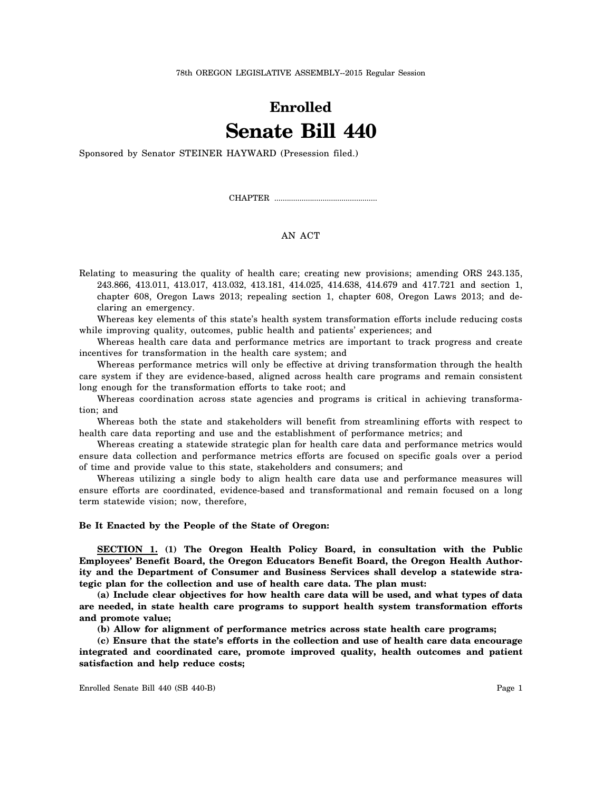78th OREGON LEGISLATIVE ASSEMBLY--2015 Regular Session

# **Enrolled Senate Bill 440**

Sponsored by Senator STEINER HAYWARD (Presession filed.)

CHAPTER .................................................

## AN ACT

Relating to measuring the quality of health care; creating new provisions; amending ORS 243.135, 243.866, 413.011, 413.017, 413.032, 413.181, 414.025, 414.638, 414.679 and 417.721 and section 1, chapter 608, Oregon Laws 2013; repealing section 1, chapter 608, Oregon Laws 2013; and declaring an emergency.

Whereas key elements of this state's health system transformation efforts include reducing costs while improving quality, outcomes, public health and patients' experiences; and

Whereas health care data and performance metrics are important to track progress and create incentives for transformation in the health care system; and

Whereas performance metrics will only be effective at driving transformation through the health care system if they are evidence-based, aligned across health care programs and remain consistent long enough for the transformation efforts to take root; and

Whereas coordination across state agencies and programs is critical in achieving transformation; and

Whereas both the state and stakeholders will benefit from streamlining efforts with respect to health care data reporting and use and the establishment of performance metrics; and

Whereas creating a statewide strategic plan for health care data and performance metrics would ensure data collection and performance metrics efforts are focused on specific goals over a period of time and provide value to this state, stakeholders and consumers; and

Whereas utilizing a single body to align health care data use and performance measures will ensure efforts are coordinated, evidence-based and transformational and remain focused on a long term statewide vision; now, therefore,

#### **Be It Enacted by the People of the State of Oregon:**

**SECTION 1. (1) The Oregon Health Policy Board, in consultation with the Public Employees' Benefit Board, the Oregon Educators Benefit Board, the Oregon Health Authority and the Department of Consumer and Business Services shall develop a statewide strategic plan for the collection and use of health care data. The plan must:**

**(a) Include clear objectives for how health care data will be used, and what types of data are needed, in state health care programs to support health system transformation efforts and promote value;**

**(b) Allow for alignment of performance metrics across state health care programs;**

**(c) Ensure that the state's efforts in the collection and use of health care data encourage integrated and coordinated care, promote improved quality, health outcomes and patient satisfaction and help reduce costs;**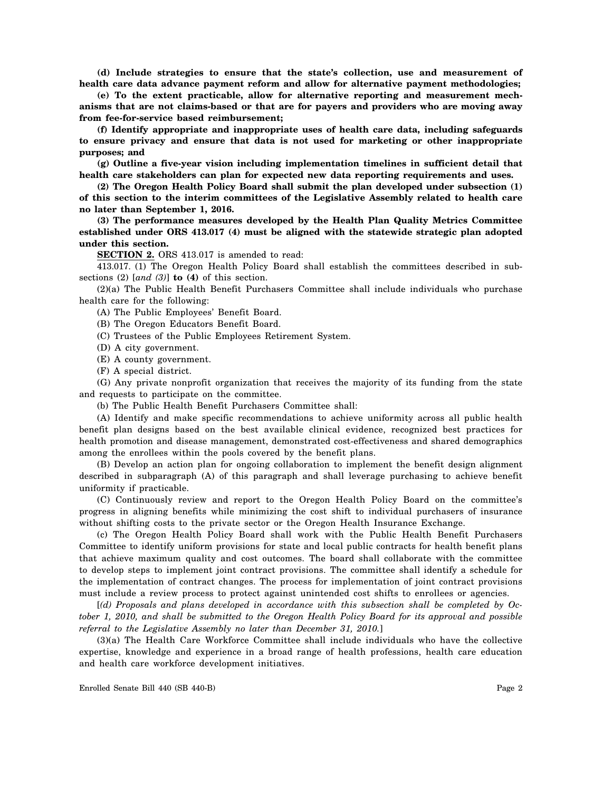**(d) Include strategies to ensure that the state's collection, use and measurement of health care data advance payment reform and allow for alternative payment methodologies;**

**(e) To the extent practicable, allow for alternative reporting and measurement mechanisms that are not claims-based or that are for payers and providers who are moving away from fee-for-service based reimbursement;**

**(f) Identify appropriate and inappropriate uses of health care data, including safeguards to ensure privacy and ensure that data is not used for marketing or other inappropriate purposes; and**

**(g) Outline a five-year vision including implementation timelines in sufficient detail that health care stakeholders can plan for expected new data reporting requirements and uses.**

**(2) The Oregon Health Policy Board shall submit the plan developed under subsection (1) of this section to the interim committees of the Legislative Assembly related to health care no later than September 1, 2016.**

**(3) The performance measures developed by the Health Plan Quality Metrics Committee established under ORS 413.017 (4) must be aligned with the statewide strategic plan adopted under this section.**

**SECTION 2.** ORS 413.017 is amended to read:

413.017. (1) The Oregon Health Policy Board shall establish the committees described in subsections (2) [*and (3)*] **to (4)** of this section.

(2)(a) The Public Health Benefit Purchasers Committee shall include individuals who purchase health care for the following:

(A) The Public Employees' Benefit Board.

(B) The Oregon Educators Benefit Board.

(C) Trustees of the Public Employees Retirement System.

(D) A city government.

(E) A county government.

(F) A special district.

(G) Any private nonprofit organization that receives the majority of its funding from the state and requests to participate on the committee.

(b) The Public Health Benefit Purchasers Committee shall:

(A) Identify and make specific recommendations to achieve uniformity across all public health benefit plan designs based on the best available clinical evidence, recognized best practices for health promotion and disease management, demonstrated cost-effectiveness and shared demographics among the enrollees within the pools covered by the benefit plans.

(B) Develop an action plan for ongoing collaboration to implement the benefit design alignment described in subparagraph (A) of this paragraph and shall leverage purchasing to achieve benefit uniformity if practicable.

(C) Continuously review and report to the Oregon Health Policy Board on the committee's progress in aligning benefits while minimizing the cost shift to individual purchasers of insurance without shifting costs to the private sector or the Oregon Health Insurance Exchange.

(c) The Oregon Health Policy Board shall work with the Public Health Benefit Purchasers Committee to identify uniform provisions for state and local public contracts for health benefit plans that achieve maximum quality and cost outcomes. The board shall collaborate with the committee to develop steps to implement joint contract provisions. The committee shall identify a schedule for the implementation of contract changes. The process for implementation of joint contract provisions must include a review process to protect against unintended cost shifts to enrollees or agencies.

[*(d) Proposals and plans developed in accordance with this subsection shall be completed by October 1, 2010, and shall be submitted to the Oregon Health Policy Board for its approval and possible referral to the Legislative Assembly no later than December 31, 2010.*]

(3)(a) The Health Care Workforce Committee shall include individuals who have the collective expertise, knowledge and experience in a broad range of health professions, health care education and health care workforce development initiatives.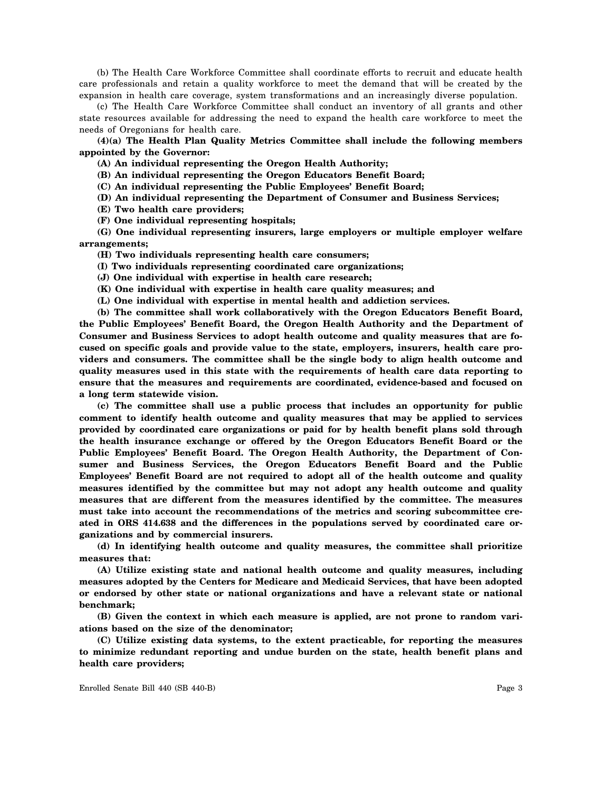(b) The Health Care Workforce Committee shall coordinate efforts to recruit and educate health care professionals and retain a quality workforce to meet the demand that will be created by the expansion in health care coverage, system transformations and an increasingly diverse population.

(c) The Health Care Workforce Committee shall conduct an inventory of all grants and other state resources available for addressing the need to expand the health care workforce to meet the needs of Oregonians for health care.

**(4)(a) The Health Plan Quality Metrics Committee shall include the following members appointed by the Governor:**

**(A) An individual representing the Oregon Health Authority;**

**(B) An individual representing the Oregon Educators Benefit Board;**

**(C) An individual representing the Public Employees' Benefit Board;**

**(D) An individual representing the Department of Consumer and Business Services;**

**(E) Two health care providers;**

**(F) One individual representing hospitals;**

**(G) One individual representing insurers, large employers or multiple employer welfare arrangements;**

**(H) Two individuals representing health care consumers;**

**(I) Two individuals representing coordinated care organizations;**

**(J) One individual with expertise in health care research;**

**(K) One individual with expertise in health care quality measures; and**

**(L) One individual with expertise in mental health and addiction services.**

**(b) The committee shall work collaboratively with the Oregon Educators Benefit Board, the Public Employees' Benefit Board, the Oregon Health Authority and the Department of Consumer and Business Services to adopt health outcome and quality measures that are focused on specific goals and provide value to the state, employers, insurers, health care providers and consumers. The committee shall be the single body to align health outcome and quality measures used in this state with the requirements of health care data reporting to ensure that the measures and requirements are coordinated, evidence-based and focused on a long term statewide vision.**

**(c) The committee shall use a public process that includes an opportunity for public comment to identify health outcome and quality measures that may be applied to services provided by coordinated care organizations or paid for by health benefit plans sold through the health insurance exchange or offered by the Oregon Educators Benefit Board or the Public Employees' Benefit Board. The Oregon Health Authority, the Department of Consumer and Business Services, the Oregon Educators Benefit Board and the Public Employees' Benefit Board are not required to adopt all of the health outcome and quality measures identified by the committee but may not adopt any health outcome and quality measures that are different from the measures identified by the committee. The measures must take into account the recommendations of the metrics and scoring subcommittee created in ORS 414.638 and the differences in the populations served by coordinated care organizations and by commercial insurers.**

**(d) In identifying health outcome and quality measures, the committee shall prioritize measures that:**

**(A) Utilize existing state and national health outcome and quality measures, including measures adopted by the Centers for Medicare and Medicaid Services, that have been adopted or endorsed by other state or national organizations and have a relevant state or national benchmark;**

**(B) Given the context in which each measure is applied, are not prone to random variations based on the size of the denominator;**

**(C) Utilize existing data systems, to the extent practicable, for reporting the measures to minimize redundant reporting and undue burden on the state, health benefit plans and health care providers;**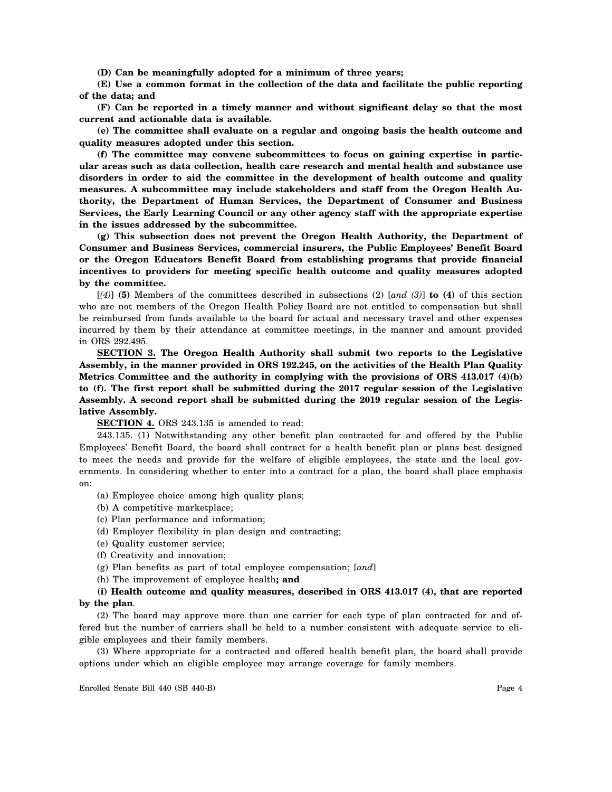**(D) Can be meaningfully adopted for a minimum of three years;**

**(E) Use a common format in the collection of the data and facilitate the public reporting of the data; and**

**(F) Can be reported in a timely manner and without significant delay so that the most current and actionable data is available.**

**(e) The committee shall evaluate on a regular and ongoing basis the health outcome and quality measures adopted under this section.**

**(f) The committee may convene subcommittees to focus on gaining expertise in particular areas such as data collection, health care research and mental health and substance use disorders in order to aid the committee in the development of health outcome and quality measures. A subcommittee may include stakeholders and staff from the Oregon Health Authority, the Department of Human Services, the Department of Consumer and Business Services, the Early Learning Council or any other agency staff with the appropriate expertise in the issues addressed by the subcommittee.**

**(g) This subsection does not prevent the Oregon Health Authority, the Department of Consumer and Business Services, commercial insurers, the Public Employees' Benefit Board or the Oregon Educators Benefit Board from establishing programs that provide financial incentives to providers for meeting specific health outcome and quality measures adopted by the committee.**

[*(4)*] **(5)** Members of the committees described in subsections (2) [*and (3)*] **to (4)** of this section who are not members of the Oregon Health Policy Board are not entitled to compensation but shall be reimbursed from funds available to the board for actual and necessary travel and other expenses incurred by them by their attendance at committee meetings, in the manner and amount provided in ORS 292.495.

**SECTION 3. The Oregon Health Authority shall submit two reports to the Legislative Assembly, in the manner provided in ORS 192.245, on the activities of the Health Plan Quality Metrics Committee and the authority in complying with the provisions of ORS 413.017 (4)(b) to (f). The first report shall be submitted during the 2017 regular session of the Legislative Assembly. A second report shall be submitted during the 2019 regular session of the Legislative Assembly.**

**SECTION 4.** ORS 243.135 is amended to read:

243.135. (1) Notwithstanding any other benefit plan contracted for and offered by the Public Employees' Benefit Board, the board shall contract for a health benefit plan or plans best designed to meet the needs and provide for the welfare of eligible employees, the state and the local governments. In considering whether to enter into a contract for a plan, the board shall place emphasis on:

- (a) Employee choice among high quality plans;
- (b) A competitive marketplace;
- (c) Plan performance and information;
- (d) Employer flexibility in plan design and contracting;
- (e) Quality customer service;
- (f) Creativity and innovation;
- (g) Plan benefits as part of total employee compensation; [*and*]
- (h) The improvement of employee health**; and**

### **(i) Health outcome and quality measures, described in ORS 413.017 (4), that are reported by the plan**.

(2) The board may approve more than one carrier for each type of plan contracted for and offered but the number of carriers shall be held to a number consistent with adequate service to eligible employees and their family members.

(3) Where appropriate for a contracted and offered health benefit plan, the board shall provide options under which an eligible employee may arrange coverage for family members.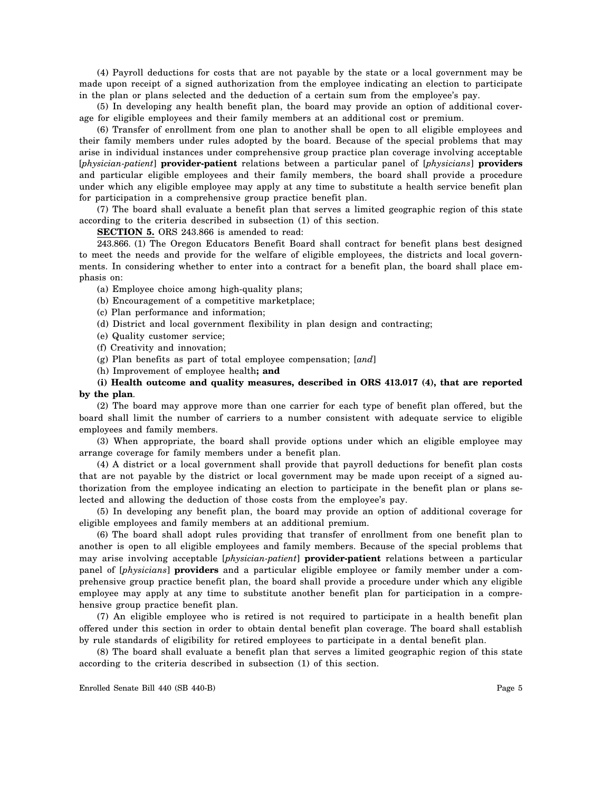(4) Payroll deductions for costs that are not payable by the state or a local government may be made upon receipt of a signed authorization from the employee indicating an election to participate in the plan or plans selected and the deduction of a certain sum from the employee's pay.

(5) In developing any health benefit plan, the board may provide an option of additional coverage for eligible employees and their family members at an additional cost or premium.

(6) Transfer of enrollment from one plan to another shall be open to all eligible employees and their family members under rules adopted by the board. Because of the special problems that may arise in individual instances under comprehensive group practice plan coverage involving acceptable [*physician-patient*] **provider-patient** relations between a particular panel of [*physicians*] **providers** and particular eligible employees and their family members, the board shall provide a procedure under which any eligible employee may apply at any time to substitute a health service benefit plan for participation in a comprehensive group practice benefit plan.

(7) The board shall evaluate a benefit plan that serves a limited geographic region of this state according to the criteria described in subsection (1) of this section.

**SECTION 5.** ORS 243.866 is amended to read:

243.866. (1) The Oregon Educators Benefit Board shall contract for benefit plans best designed to meet the needs and provide for the welfare of eligible employees, the districts and local governments. In considering whether to enter into a contract for a benefit plan, the board shall place emphasis on:

- (a) Employee choice among high-quality plans;
- (b) Encouragement of a competitive marketplace;
- (c) Plan performance and information;
- (d) District and local government flexibility in plan design and contracting;
- (e) Quality customer service;
- (f) Creativity and innovation;
- (g) Plan benefits as part of total employee compensation; [*and*]
- (h) Improvement of employee health**; and**

## **(i) Health outcome and quality measures, described in ORS 413.017 (4), that are reported by the plan**.

(2) The board may approve more than one carrier for each type of benefit plan offered, but the board shall limit the number of carriers to a number consistent with adequate service to eligible employees and family members.

(3) When appropriate, the board shall provide options under which an eligible employee may arrange coverage for family members under a benefit plan.

(4) A district or a local government shall provide that payroll deductions for benefit plan costs that are not payable by the district or local government may be made upon receipt of a signed authorization from the employee indicating an election to participate in the benefit plan or plans selected and allowing the deduction of those costs from the employee's pay.

(5) In developing any benefit plan, the board may provide an option of additional coverage for eligible employees and family members at an additional premium.

(6) The board shall adopt rules providing that transfer of enrollment from one benefit plan to another is open to all eligible employees and family members. Because of the special problems that may arise involving acceptable [*physician-patient*] **provider-patient** relations between a particular panel of [*physicians*] **providers** and a particular eligible employee or family member under a comprehensive group practice benefit plan, the board shall provide a procedure under which any eligible employee may apply at any time to substitute another benefit plan for participation in a comprehensive group practice benefit plan.

(7) An eligible employee who is retired is not required to participate in a health benefit plan offered under this section in order to obtain dental benefit plan coverage. The board shall establish by rule standards of eligibility for retired employees to participate in a dental benefit plan.

(8) The board shall evaluate a benefit plan that serves a limited geographic region of this state according to the criteria described in subsection (1) of this section.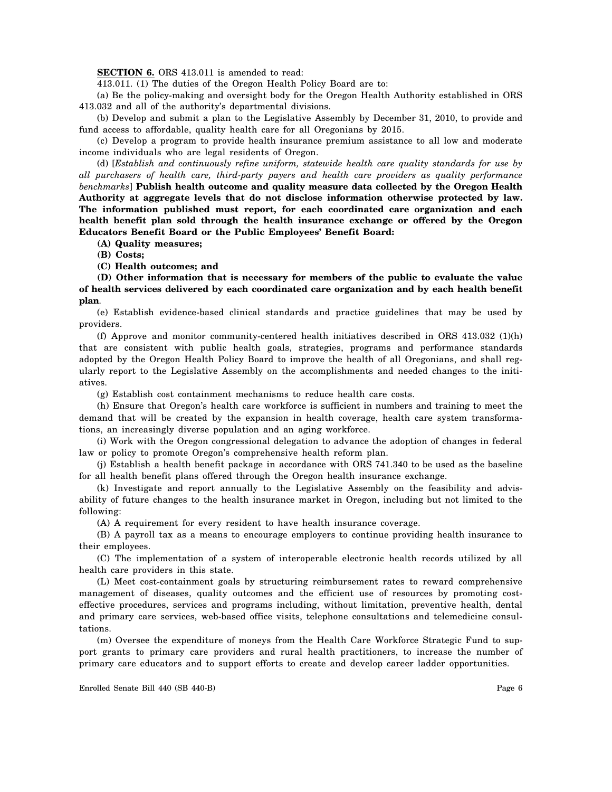**SECTION 6.** ORS 413.011 is amended to read:

413.011. (1) The duties of the Oregon Health Policy Board are to:

(a) Be the policy-making and oversight body for the Oregon Health Authority established in ORS 413.032 and all of the authority's departmental divisions.

(b) Develop and submit a plan to the Legislative Assembly by December 31, 2010, to provide and fund access to affordable, quality health care for all Oregonians by 2015.

(c) Develop a program to provide health insurance premium assistance to all low and moderate income individuals who are legal residents of Oregon.

(d) [*Establish and continuously refine uniform, statewide health care quality standards for use by all purchasers of health care, third-party payers and health care providers as quality performance benchmarks*] **Publish health outcome and quality measure data collected by the Oregon Health Authority at aggregate levels that do not disclose information otherwise protected by law. The information published must report, for each coordinated care organization and each health benefit plan sold through the health insurance exchange or offered by the Oregon Educators Benefit Board or the Public Employees' Benefit Board:**

**(A) Quality measures;**

**(B) Costs;**

**(C) Health outcomes; and**

**(D) Other information that is necessary for members of the public to evaluate the value of health services delivered by each coordinated care organization and by each health benefit plan**.

(e) Establish evidence-based clinical standards and practice guidelines that may be used by providers.

(f) Approve and monitor community-centered health initiatives described in ORS 413.032 (1)(h) that are consistent with public health goals, strategies, programs and performance standards adopted by the Oregon Health Policy Board to improve the health of all Oregonians, and shall regularly report to the Legislative Assembly on the accomplishments and needed changes to the initiatives.

(g) Establish cost containment mechanisms to reduce health care costs.

(h) Ensure that Oregon's health care workforce is sufficient in numbers and training to meet the demand that will be created by the expansion in health coverage, health care system transformations, an increasingly diverse population and an aging workforce.

(i) Work with the Oregon congressional delegation to advance the adoption of changes in federal law or policy to promote Oregon's comprehensive health reform plan.

(j) Establish a health benefit package in accordance with ORS 741.340 to be used as the baseline for all health benefit plans offered through the Oregon health insurance exchange.

(k) Investigate and report annually to the Legislative Assembly on the feasibility and advisability of future changes to the health insurance market in Oregon, including but not limited to the following:

(A) A requirement for every resident to have health insurance coverage.

(B) A payroll tax as a means to encourage employers to continue providing health insurance to their employees.

(C) The implementation of a system of interoperable electronic health records utilized by all health care providers in this state.

(L) Meet cost-containment goals by structuring reimbursement rates to reward comprehensive management of diseases, quality outcomes and the efficient use of resources by promoting costeffective procedures, services and programs including, without limitation, preventive health, dental and primary care services, web-based office visits, telephone consultations and telemedicine consultations.

(m) Oversee the expenditure of moneys from the Health Care Workforce Strategic Fund to support grants to primary care providers and rural health practitioners, to increase the number of primary care educators and to support efforts to create and develop career ladder opportunities.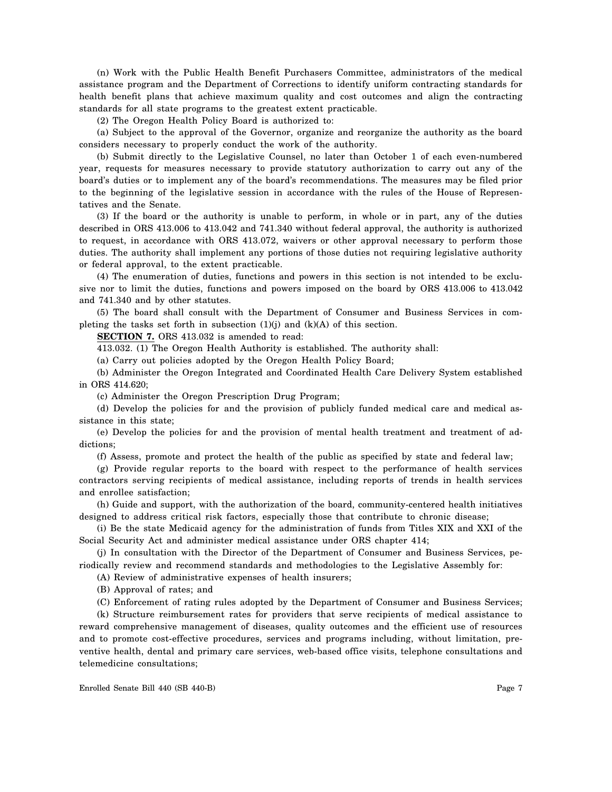(n) Work with the Public Health Benefit Purchasers Committee, administrators of the medical assistance program and the Department of Corrections to identify uniform contracting standards for health benefit plans that achieve maximum quality and cost outcomes and align the contracting standards for all state programs to the greatest extent practicable.

(2) The Oregon Health Policy Board is authorized to:

(a) Subject to the approval of the Governor, organize and reorganize the authority as the board considers necessary to properly conduct the work of the authority.

(b) Submit directly to the Legislative Counsel, no later than October 1 of each even-numbered year, requests for measures necessary to provide statutory authorization to carry out any of the board's duties or to implement any of the board's recommendations. The measures may be filed prior to the beginning of the legislative session in accordance with the rules of the House of Representatives and the Senate.

(3) If the board or the authority is unable to perform, in whole or in part, any of the duties described in ORS 413.006 to 413.042 and 741.340 without federal approval, the authority is authorized to request, in accordance with ORS 413.072, waivers or other approval necessary to perform those duties. The authority shall implement any portions of those duties not requiring legislative authority or federal approval, to the extent practicable.

(4) The enumeration of duties, functions and powers in this section is not intended to be exclusive nor to limit the duties, functions and powers imposed on the board by ORS 413.006 to 413.042 and 741.340 and by other statutes.

(5) The board shall consult with the Department of Consumer and Business Services in completing the tasks set forth in subsection (1)(j) and (k)(A) of this section.

**SECTION 7.** ORS 413.032 is amended to read:

413.032. (1) The Oregon Health Authority is established. The authority shall:

(a) Carry out policies adopted by the Oregon Health Policy Board;

(b) Administer the Oregon Integrated and Coordinated Health Care Delivery System established in ORS 414.620;

(c) Administer the Oregon Prescription Drug Program;

(d) Develop the policies for and the provision of publicly funded medical care and medical assistance in this state;

(e) Develop the policies for and the provision of mental health treatment and treatment of addictions;

(f) Assess, promote and protect the health of the public as specified by state and federal law;

(g) Provide regular reports to the board with respect to the performance of health services contractors serving recipients of medical assistance, including reports of trends in health services and enrollee satisfaction;

(h) Guide and support, with the authorization of the board, community-centered health initiatives designed to address critical risk factors, especially those that contribute to chronic disease;

(i) Be the state Medicaid agency for the administration of funds from Titles XIX and XXI of the Social Security Act and administer medical assistance under ORS chapter 414;

(j) In consultation with the Director of the Department of Consumer and Business Services, periodically review and recommend standards and methodologies to the Legislative Assembly for:

(A) Review of administrative expenses of health insurers;

(B) Approval of rates; and

(C) Enforcement of rating rules adopted by the Department of Consumer and Business Services;

(k) Structure reimbursement rates for providers that serve recipients of medical assistance to reward comprehensive management of diseases, quality outcomes and the efficient use of resources and to promote cost-effective procedures, services and programs including, without limitation, preventive health, dental and primary care services, web-based office visits, telephone consultations and telemedicine consultations;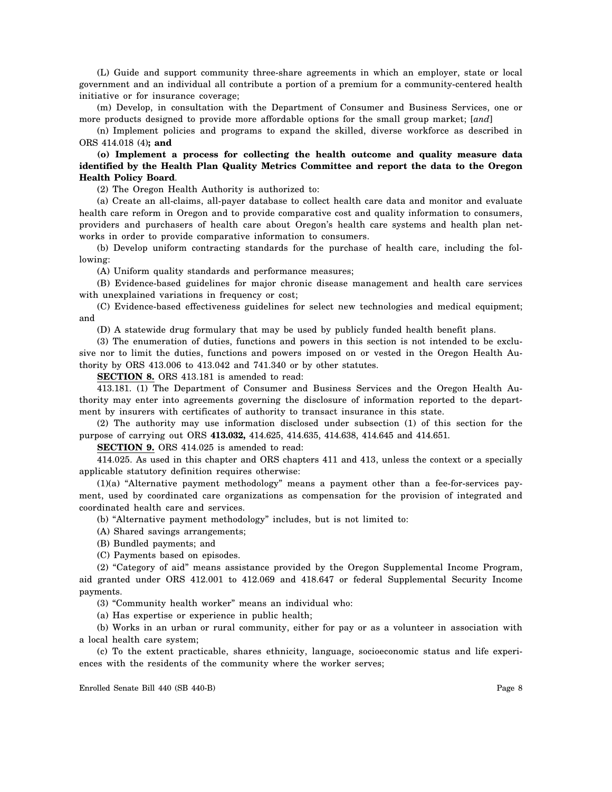(L) Guide and support community three-share agreements in which an employer, state or local government and an individual all contribute a portion of a premium for a community-centered health initiative or for insurance coverage;

(m) Develop, in consultation with the Department of Consumer and Business Services, one or more products designed to provide more affordable options for the small group market; [*and*]

(n) Implement policies and programs to expand the skilled, diverse workforce as described in ORS 414.018 (4)**; and**

**(o) Implement a process for collecting the health outcome and quality measure data identified by the Health Plan Quality Metrics Committee and report the data to the Oregon Health Policy Board**.

(2) The Oregon Health Authority is authorized to:

(a) Create an all-claims, all-payer database to collect health care data and monitor and evaluate health care reform in Oregon and to provide comparative cost and quality information to consumers, providers and purchasers of health care about Oregon's health care systems and health plan networks in order to provide comparative information to consumers.

(b) Develop uniform contracting standards for the purchase of health care, including the following:

(A) Uniform quality standards and performance measures;

(B) Evidence-based guidelines for major chronic disease management and health care services with unexplained variations in frequency or cost;

(C) Evidence-based effectiveness guidelines for select new technologies and medical equipment; and

(D) A statewide drug formulary that may be used by publicly funded health benefit plans.

(3) The enumeration of duties, functions and powers in this section is not intended to be exclusive nor to limit the duties, functions and powers imposed on or vested in the Oregon Health Authority by ORS 413.006 to 413.042 and 741.340 or by other statutes.

**SECTION 8.** ORS 413.181 is amended to read:

413.181. (1) The Department of Consumer and Business Services and the Oregon Health Authority may enter into agreements governing the disclosure of information reported to the department by insurers with certificates of authority to transact insurance in this state.

(2) The authority may use information disclosed under subsection (1) of this section for the purpose of carrying out ORS **413.032,** 414.625, 414.635, 414.638, 414.645 and 414.651.

**SECTION 9.** ORS 414.025 is amended to read:

414.025. As used in this chapter and ORS chapters 411 and 413, unless the context or a specially applicable statutory definition requires otherwise:

(1)(a) "Alternative payment methodology" means a payment other than a fee-for-services payment, used by coordinated care organizations as compensation for the provision of integrated and coordinated health care and services.

(b) "Alternative payment methodology" includes, but is not limited to:

(A) Shared savings arrangements;

(B) Bundled payments; and

(C) Payments based on episodes.

(2) "Category of aid" means assistance provided by the Oregon Supplemental Income Program, aid granted under ORS 412.001 to 412.069 and 418.647 or federal Supplemental Security Income payments.

(3) "Community health worker" means an individual who:

(a) Has expertise or experience in public health;

(b) Works in an urban or rural community, either for pay or as a volunteer in association with a local health care system;

(c) To the extent practicable, shares ethnicity, language, socioeconomic status and life experiences with the residents of the community where the worker serves;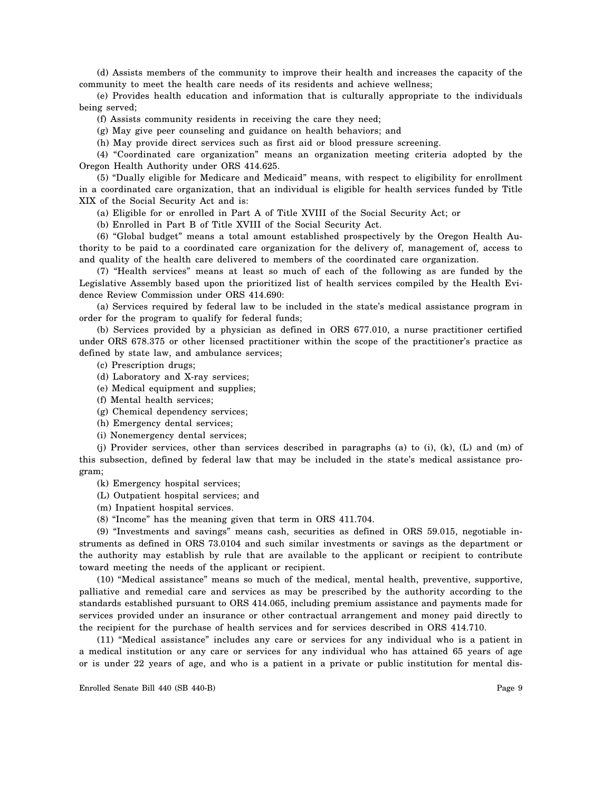(d) Assists members of the community to improve their health and increases the capacity of the community to meet the health care needs of its residents and achieve wellness;

(e) Provides health education and information that is culturally appropriate to the individuals being served;

(f) Assists community residents in receiving the care they need;

(g) May give peer counseling and guidance on health behaviors; and

(h) May provide direct services such as first aid or blood pressure screening.

(4) "Coordinated care organization" means an organization meeting criteria adopted by the Oregon Health Authority under ORS 414.625.

(5) "Dually eligible for Medicare and Medicaid" means, with respect to eligibility for enrollment in a coordinated care organization, that an individual is eligible for health services funded by Title XIX of the Social Security Act and is:

(a) Eligible for or enrolled in Part A of Title XVIII of the Social Security Act; or

(b) Enrolled in Part B of Title XVIII of the Social Security Act.

(6) "Global budget" means a total amount established prospectively by the Oregon Health Authority to be paid to a coordinated care organization for the delivery of, management of, access to and quality of the health care delivered to members of the coordinated care organization.

(7) "Health services" means at least so much of each of the following as are funded by the Legislative Assembly based upon the prioritized list of health services compiled by the Health Evidence Review Commission under ORS 414.690:

(a) Services required by federal law to be included in the state's medical assistance program in order for the program to qualify for federal funds;

(b) Services provided by a physician as defined in ORS 677.010, a nurse practitioner certified under ORS 678.375 or other licensed practitioner within the scope of the practitioner's practice as defined by state law, and ambulance services;

(c) Prescription drugs;

- (d) Laboratory and X-ray services;
- (e) Medical equipment and supplies;
- (f) Mental health services;
- (g) Chemical dependency services;
- (h) Emergency dental services;
- (i) Nonemergency dental services;

(j) Provider services, other than services described in paragraphs (a) to (i), (k), (L) and (m) of this subsection, defined by federal law that may be included in the state's medical assistance program;

(k) Emergency hospital services;

- (L) Outpatient hospital services; and
- (m) Inpatient hospital services.
- (8) "Income" has the meaning given that term in ORS 411.704.

(9) "Investments and savings" means cash, securities as defined in ORS 59.015, negotiable instruments as defined in ORS 73.0104 and such similar investments or savings as the department or the authority may establish by rule that are available to the applicant or recipient to contribute toward meeting the needs of the applicant or recipient.

(10) "Medical assistance" means so much of the medical, mental health, preventive, supportive, palliative and remedial care and services as may be prescribed by the authority according to the standards established pursuant to ORS 414.065, including premium assistance and payments made for services provided under an insurance or other contractual arrangement and money paid directly to the recipient for the purchase of health services and for services described in ORS 414.710.

(11) "Medical assistance" includes any care or services for any individual who is a patient in a medical institution or any care or services for any individual who has attained 65 years of age or is under 22 years of age, and who is a patient in a private or public institution for mental dis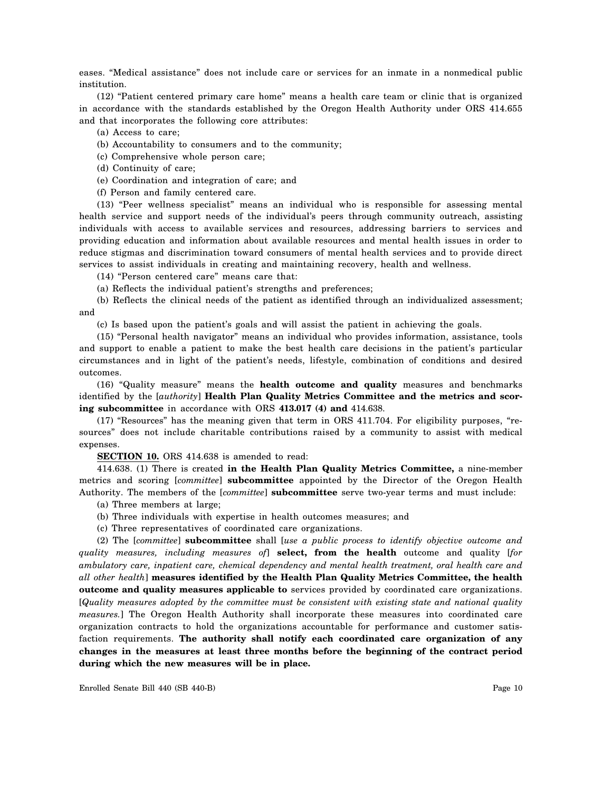eases. "Medical assistance" does not include care or services for an inmate in a nonmedical public institution.

(12) "Patient centered primary care home" means a health care team or clinic that is organized in accordance with the standards established by the Oregon Health Authority under ORS 414.655 and that incorporates the following core attributes:

(a) Access to care;

- (b) Accountability to consumers and to the community;
- (c) Comprehensive whole person care;
- (d) Continuity of care;
- (e) Coordination and integration of care; and
- (f) Person and family centered care.

(13) "Peer wellness specialist" means an individual who is responsible for assessing mental health service and support needs of the individual's peers through community outreach, assisting individuals with access to available services and resources, addressing barriers to services and providing education and information about available resources and mental health issues in order to reduce stigmas and discrimination toward consumers of mental health services and to provide direct services to assist individuals in creating and maintaining recovery, health and wellness.

(14) "Person centered care" means care that:

(a) Reflects the individual patient's strengths and preferences;

(b) Reflects the clinical needs of the patient as identified through an individualized assessment; and

(c) Is based upon the patient's goals and will assist the patient in achieving the goals.

(15) "Personal health navigator" means an individual who provides information, assistance, tools and support to enable a patient to make the best health care decisions in the patient's particular circumstances and in light of the patient's needs, lifestyle, combination of conditions and desired outcomes.

(16) "Quality measure" means the **health outcome and quality** measures and benchmarks identified by the [*authority*] **Health Plan Quality Metrics Committee and the metrics and scoring subcommittee** in accordance with ORS **413.017 (4) and** 414.638.

(17) "Resources" has the meaning given that term in ORS 411.704. For eligibility purposes, "resources" does not include charitable contributions raised by a community to assist with medical expenses.

**SECTION 10.** ORS 414.638 is amended to read:

414.638. (1) There is created **in the Health Plan Quality Metrics Committee,** a nine-member metrics and scoring [*committee*] **subcommittee** appointed by the Director of the Oregon Health Authority. The members of the [*committee*] **subcommittee** serve two-year terms and must include:

(a) Three members at large;

- (b) Three individuals with expertise in health outcomes measures; and
- (c) Three representatives of coordinated care organizations.

(2) The [*committee*] **subcommittee** shall [*use a public process to identify objective outcome and quality measures, including measures of*] **select, from the health** outcome and quality [*for ambulatory care, inpatient care, chemical dependency and mental health treatment, oral health care and all other health*] **measures identified by the Health Plan Quality Metrics Committee, the health outcome and quality measures applicable to** services provided by coordinated care organizations. [*Quality measures adopted by the committee must be consistent with existing state and national quality measures.*] The Oregon Health Authority shall incorporate these measures into coordinated care organization contracts to hold the organizations accountable for performance and customer satisfaction requirements. **The authority shall notify each coordinated care organization of any changes in the measures at least three months before the beginning of the contract period during which the new measures will be in place.**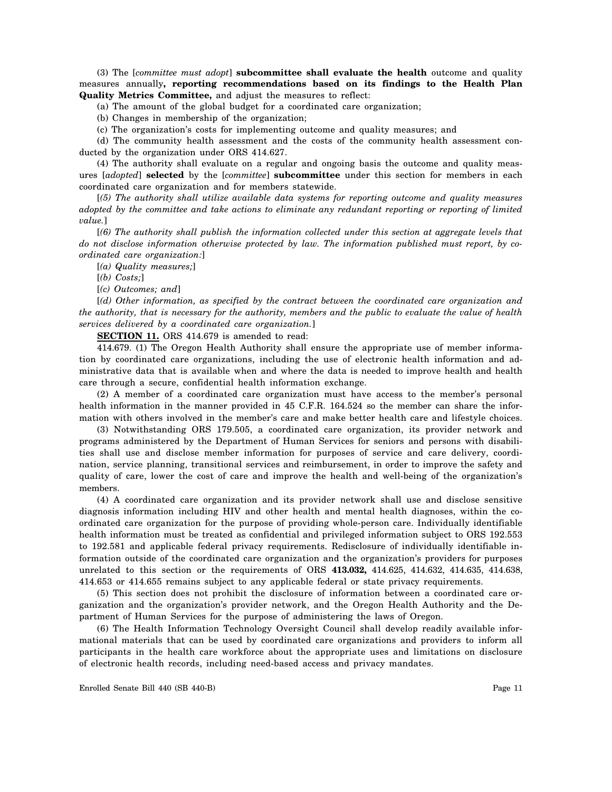(3) The [*committee must adopt*] **subcommittee shall evaluate the health** outcome and quality measures annually**, reporting recommendations based on its findings to the Health Plan Quality Metrics Committee,** and adjust the measures to reflect:

(a) The amount of the global budget for a coordinated care organization;

(b) Changes in membership of the organization;

(c) The organization's costs for implementing outcome and quality measures; and

(d) The community health assessment and the costs of the community health assessment conducted by the organization under ORS 414.627.

(4) The authority shall evaluate on a regular and ongoing basis the outcome and quality measures [*adopted*] **selected** by the [*committee*] **subcommittee** under this section for members in each coordinated care organization and for members statewide.

[*(5) The authority shall utilize available data systems for reporting outcome and quality measures adopted by the committee and take actions to eliminate any redundant reporting or reporting of limited value.*]

[*(6) The authority shall publish the information collected under this section at aggregate levels that do not disclose information otherwise protected by law. The information published must report, by coordinated care organization:*]

[*(a) Quality measures;*]

- [*(b) Costs;*]
- [*(c) Outcomes; and*]

[*(d) Other information, as specified by the contract between the coordinated care organization and the authority, that is necessary for the authority, members and the public to evaluate the value of health services delivered by a coordinated care organization.*]

**SECTION 11.** ORS 414.679 is amended to read:

414.679. (1) The Oregon Health Authority shall ensure the appropriate use of member information by coordinated care organizations, including the use of electronic health information and administrative data that is available when and where the data is needed to improve health and health care through a secure, confidential health information exchange.

(2) A member of a coordinated care organization must have access to the member's personal health information in the manner provided in 45 C.F.R. 164.524 so the member can share the information with others involved in the member's care and make better health care and lifestyle choices.

(3) Notwithstanding ORS 179.505, a coordinated care organization, its provider network and programs administered by the Department of Human Services for seniors and persons with disabilities shall use and disclose member information for purposes of service and care delivery, coordination, service planning, transitional services and reimbursement, in order to improve the safety and quality of care, lower the cost of care and improve the health and well-being of the organization's members.

(4) A coordinated care organization and its provider network shall use and disclose sensitive diagnosis information including HIV and other health and mental health diagnoses, within the coordinated care organization for the purpose of providing whole-person care. Individually identifiable health information must be treated as confidential and privileged information subject to ORS 192.553 to 192.581 and applicable federal privacy requirements. Redisclosure of individually identifiable information outside of the coordinated care organization and the organization's providers for purposes unrelated to this section or the requirements of ORS **413.032,** 414.625, 414.632, 414.635, 414.638, 414.653 or 414.655 remains subject to any applicable federal or state privacy requirements.

(5) This section does not prohibit the disclosure of information between a coordinated care organization and the organization's provider network, and the Oregon Health Authority and the Department of Human Services for the purpose of administering the laws of Oregon.

(6) The Health Information Technology Oversight Council shall develop readily available informational materials that can be used by coordinated care organizations and providers to inform all participants in the health care workforce about the appropriate uses and limitations on disclosure of electronic health records, including need-based access and privacy mandates.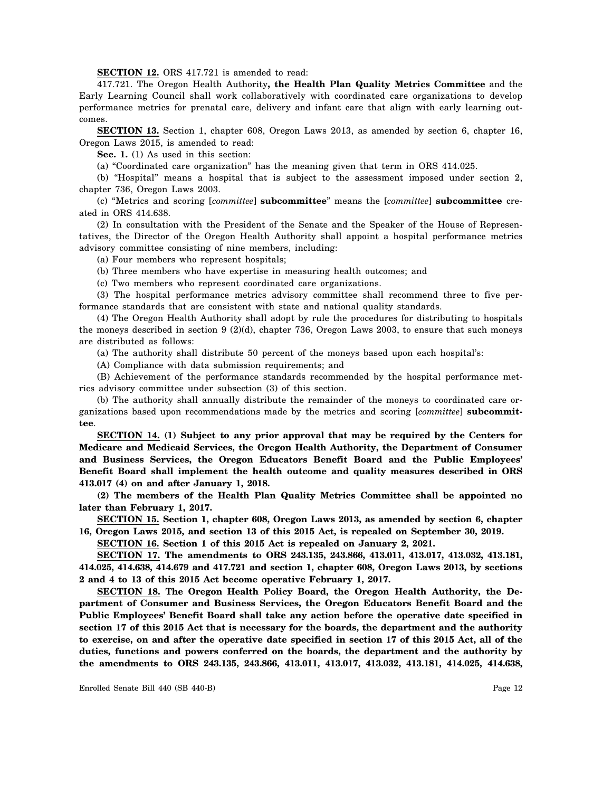**SECTION 12.** ORS 417.721 is amended to read:

417.721. The Oregon Health Authority**, the Health Plan Quality Metrics Committee** and the Early Learning Council shall work collaboratively with coordinated care organizations to develop performance metrics for prenatal care, delivery and infant care that align with early learning outcomes.

**SECTION 13.** Section 1, chapter 608, Oregon Laws 2013, as amended by section 6, chapter 16, Oregon Laws 2015, is amended to read:

**Sec. 1.** (1) As used in this section:

(a) "Coordinated care organization" has the meaning given that term in ORS 414.025.

(b) "Hospital" means a hospital that is subject to the assessment imposed under section 2, chapter 736, Oregon Laws 2003.

(c) "Metrics and scoring [*committee*] **subcommittee**" means the [*committee*] **subcommittee** created in ORS 414.638.

(2) In consultation with the President of the Senate and the Speaker of the House of Representatives, the Director of the Oregon Health Authority shall appoint a hospital performance metrics advisory committee consisting of nine members, including:

(a) Four members who represent hospitals;

(b) Three members who have expertise in measuring health outcomes; and

(c) Two members who represent coordinated care organizations.

(3) The hospital performance metrics advisory committee shall recommend three to five performance standards that are consistent with state and national quality standards.

(4) The Oregon Health Authority shall adopt by rule the procedures for distributing to hospitals the moneys described in section 9 (2)(d), chapter 736, Oregon Laws 2003, to ensure that such moneys are distributed as follows:

(a) The authority shall distribute 50 percent of the moneys based upon each hospital's:

(A) Compliance with data submission requirements; and

(B) Achievement of the performance standards recommended by the hospital performance metrics advisory committee under subsection (3) of this section.

(b) The authority shall annually distribute the remainder of the moneys to coordinated care organizations based upon recommendations made by the metrics and scoring [*committee*] **subcommittee**.

**SECTION 14. (1) Subject to any prior approval that may be required by the Centers for Medicare and Medicaid Services, the Oregon Health Authority, the Department of Consumer and Business Services, the Oregon Educators Benefit Board and the Public Employees' Benefit Board shall implement the health outcome and quality measures described in ORS 413.017 (4) on and after January 1, 2018.**

**(2) The members of the Health Plan Quality Metrics Committee shall be appointed no later than February 1, 2017.**

**SECTION 15. Section 1, chapter 608, Oregon Laws 2013, as amended by section 6, chapter 16, Oregon Laws 2015, and section 13 of this 2015 Act, is repealed on September 30, 2019.**

**SECTION 16. Section 1 of this 2015 Act is repealed on January 2, 2021.**

**SECTION 17. The amendments to ORS 243.135, 243.866, 413.011, 413.017, 413.032, 413.181, 414.025, 414.638, 414.679 and 417.721 and section 1, chapter 608, Oregon Laws 2013, by sections 2 and 4 to 13 of this 2015 Act become operative February 1, 2017.**

**SECTION 18. The Oregon Health Policy Board, the Oregon Health Authority, the Department of Consumer and Business Services, the Oregon Educators Benefit Board and the Public Employees' Benefit Board shall take any action before the operative date specified in section 17 of this 2015 Act that is necessary for the boards, the department and the authority to exercise, on and after the operative date specified in section 17 of this 2015 Act, all of the duties, functions and powers conferred on the boards, the department and the authority by the amendments to ORS 243.135, 243.866, 413.011, 413.017, 413.032, 413.181, 414.025, 414.638,**